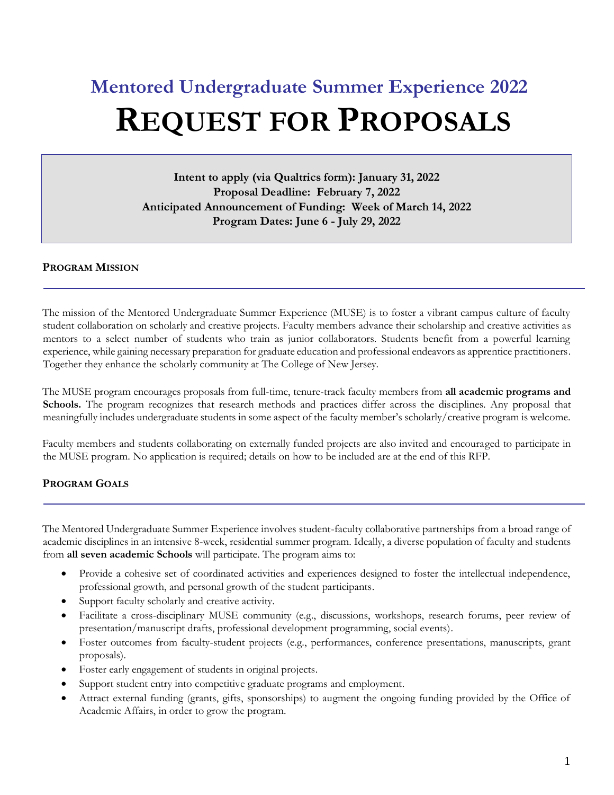# **Mentored Undergraduate Summer Experience 2022 REQUEST FOR PROPOSALS**

**Intent to apply (via Qualtrics form): January 31, 2022 Proposal Deadline: February 7, 2022 Anticipated Announcement of Funding: Week of March 14, 2022 Program Dates: June 6 - July 29, 2022**

#### **PROGRAM MISSION**

The mission of the Mentored Undergraduate Summer Experience (MUSE) is to foster a vibrant campus culture of faculty student collaboration on scholarly and creative projects. Faculty members advance their scholarship and creative activities as mentors to a select number of students who train as junior collaborators. Students benefit from a powerful learning experience, while gaining necessary preparation for graduate education and professional endeavors as apprentice practitioners. Together they enhance the scholarly community at The College of New Jersey.

The MUSE program encourages proposals from full-time, tenure-track faculty members from **all academic programs and Schools.** The program recognizes that research methods and practices differ across the disciplines. Any proposal that meaningfully includes undergraduate students in some aspect of the faculty member's scholarly/creative program is welcome.

Faculty members and students collaborating on externally funded projects are also invited and encouraged to participate in the MUSE program. No application is required; details on how to be included are at the end of this RFP.

# **PROGRAM GOALS**

The Mentored Undergraduate Summer Experience involves student-faculty collaborative partnerships from a broad range of academic disciplines in an intensive 8-week, residential summer program. Ideally, a diverse population of faculty and students from **all seven academic Schools** will participate. The program aims to:

- Provide a cohesive set of coordinated activities and experiences designed to foster the intellectual independence, professional growth, and personal growth of the student participants.
- Support faculty scholarly and creative activity.
- Facilitate a cross-disciplinary MUSE community (e.g., discussions, workshops, research forums, peer review of presentation/manuscript drafts, professional development programming, social events).
- Foster outcomes from faculty-student projects (e.g., performances, conference presentations, manuscripts, grant proposals).
- Foster early engagement of students in original projects.
- Support student entry into competitive graduate programs and employment.
- Attract external funding (grants, gifts, sponsorships) to augment the ongoing funding provided by the Office of Academic Affairs, in order to grow the program.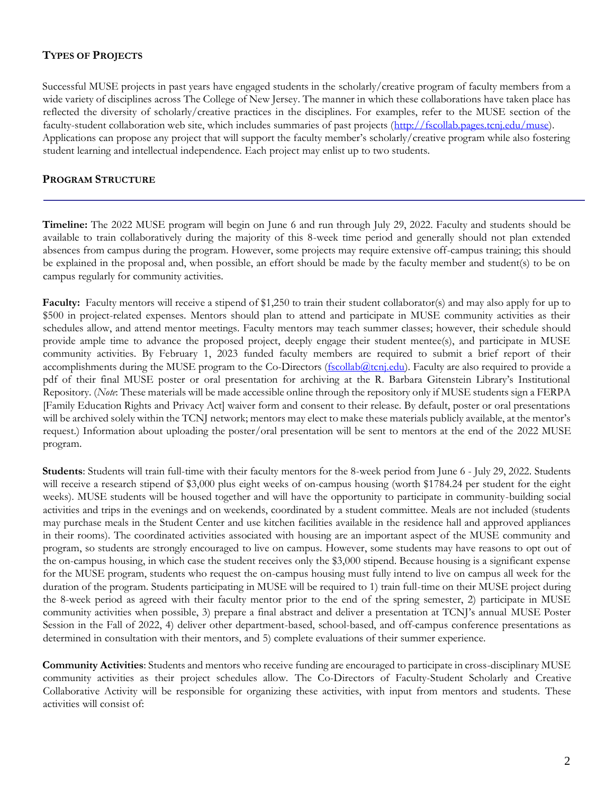# **TYPES OF PROJECTS**

Successful MUSE projects in past years have engaged students in the scholarly/creative program of faculty members from a wide variety of disciplines across The College of New Jersey. The manner in which these collaborations have taken place has reflected the diversity of scholarly/creative practices in the disciplines. For examples, refer to the MUSE section of the faculty-student collaboration web site, which includes summaries of past projects [\(http://fscollab.pages.tcnj.edu/muse\).](http://fscollab.pages.tcnj.edu/muse) Applications can propose any project that will support the faculty member's scholarly/creative program while also fostering student learning and intellectual independence. Each project may enlist up to two students.

#### **PROGRAM STRUCTURE**

**Timeline:** The 2022 MUSE program will begin on June 6 and run through July 29, 2022. Faculty and students should be available to train collaboratively during the majority of this 8-week time period and generally should not plan extended absences from campus during the program. However, some projects may require extensive off-campus training; this should be explained in the proposal and, when possible, an effort should be made by the faculty member and student(s) to be on campus regularly for community activities.

**Faculty:** Faculty mentors will receive a stipend of \$1,250 to train their student collaborator(s) and may also apply for up to \$500 in project-related expenses. Mentors should plan to attend and participate in MUSE community activities as their schedules allow, and attend mentor meetings. Faculty mentors may teach summer classes; however, their schedule should provide ample time to advance the proposed project, deeply engage their student mentee(s), and participate in MUSE community activities. By February 1, 2023 funded faculty members are required to submit a brief report of their accomplishments during the MUSE program to the Co-Directors (fscollab@tcnj.edu). Faculty are also required to provide a pdf of their final MUSE poster or oral presentation for archiving at the R. Barbara Gitenstein Library's Institutional Repository. (*Note*: These materials will be made accessible online through the repository only if MUSE students sign a FERPA [Family Education Rights and Privacy Act] waiver form and consent to their release. By default, poster or oral presentations will be archived solely within the TCNJ network; mentors may elect to make these materials publicly available, at the mentor's request.) Information about uploading the poster/oral presentation will be sent to mentors at the end of the 2022 MUSE program.

**Students**: Students will train full-time with their faculty mentors for the 8-week period from June 6 - July 29, 2022. Students will receive a research stipend of \$3,000 plus eight weeks of on-campus housing (worth \$1784.24 per student for the eight weeks). MUSE students will be housed together and will have the opportunity to participate in community-building social activities and trips in the evenings and on weekends, coordinated by a student committee. Meals are not included (students may purchase meals in the Student Center and use kitchen facilities available in the residence hall and approved appliances in their rooms). The coordinated activities associated with housing are an important aspect of the MUSE community and program, so students are strongly encouraged to live on campus. However, some students may have reasons to opt out of the on-campus housing, in which case the student receives only the \$3,000 stipend. Because housing is a significant expense for the MUSE program, students who request the on-campus housing must fully intend to live on campus all week for the duration of the program. Students participating in MUSE will be required to 1) train full-time on their MUSE project during the 8-week period as agreed with their faculty mentor prior to the end of the spring semester, 2) participate in MUSE community activities when possible, 3) prepare a final abstract and deliver a presentation at TCNJ's annual MUSE Poster Session in the Fall of 2022, 4) deliver other department-based, school-based, and off-campus conference presentations as determined in consultation with their mentors, and 5) complete evaluations of their summer experience.

**Community Activities**: Students and mentors who receive funding are encouraged to participate in cross-disciplinary MUSE community activities as their project schedules allow. The Co-Directors of Faculty-Student Scholarly and Creative Collaborative Activity will be responsible for organizing these activities, with input from mentors and students. These activities will consist of: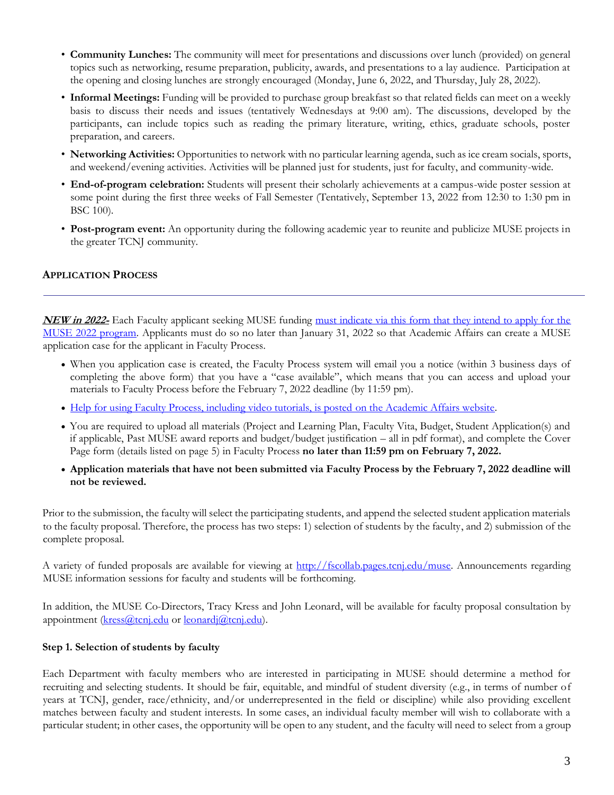- **Community Lunches:** The community will meet for presentations and discussions over lunch (provided) on general topics such as networking, resume preparation, publicity, awards, and presentations to a lay audience. Participation at the opening and closing lunches are strongly encouraged (Monday, June 6, 2022, and Thursday, July 28, 2022).
- **Informal Meetings:** Funding will be provided to purchase group breakfast so that related fields can meet on a weekly basis to discuss their needs and issues (tentatively Wednesdays at 9:00 am). The discussions, developed by the participants, can include topics such as reading the primary literature, writing, ethics, graduate schools, poster preparation, and careers.
- **Networking Activities:** Opportunities to network with no particular learning agenda, such as ice cream socials, sports, and weekend/evening activities. Activities will be planned just for students, just for faculty, and community-wide.
- **End-of-program celebration:** Students will present their scholarly achievements at a campus-wide poster session at some point during the first three weeks of Fall Semester (Tentatively, September 13, 2022 from 12:30 to 1:30 pm in BSC 100).
- **Post-program event:** An opportunity during the following academic year to reunite and publicize MUSE projects in the greater TCNJ community.

#### **APPLICATION PROCESS**

**NEW in 2022-** Each Faculty applicant seeking MUSE funding [must indicate via this form that they intend to apply for the](https://tcnj.co1.qualtrics.com/jfe/form/SV_bNn0cFrxiGwaiyy)  [MUSE 2022 program.](https://tcnj.co1.qualtrics.com/jfe/form/SV_bNn0cFrxiGwaiyy) Applicants must do so no later than January 31, 2022 so that Academic Affairs can create a MUSE application case for the applicant in Faculty Process.

- When you application case is created, the Faculty Process system will email you a notice (within 3 business days of completing the above form) that you have a "case available", which means that you can access and upload your materials to Faculty Process before the February 7, 2022 deadline (by 11:59 pm).
- [Help for using Faculty Process, including video tutorials, is posted on the Academic Affairs website.](https://academicaffairs.tcnj.edu/help-for-using-faculty-process/)
- You are required to upload all materials (Project and Learning Plan, Faculty Vita, Budget, Student Application(s) and if applicable, Past MUSE award reports and budget/budget justification – all in pdf format), and complete the Cover Page form (details listed on page 5) in Faculty Process **no later than 11:59 pm on February 7, 2022.**
- **Application materials that have not been submitted via Faculty Process by the February 7, 2022 deadline will not be reviewed.**

Prior to the submission, the faculty will select the participating students, and append the selected student application materials to the faculty proposal. Therefore, the process has two steps: 1) selection of students by the faculty, and 2) submission of the complete proposal.

A variety of funded proposals are available for viewing at [http://fscollab.pages.tcnj.edu/muse.](http://fscollab.pages.tcnj.edu/muse) Announcements regarding MUSE information sessions for faculty and students will be forthcoming.

In addition, the MUSE Co-Directors, Tracy Kress and John Leonard, will be available for faculty proposal consultation by appointment [\(kress@tcnj.edu](mailto:kress@tcnj.edu) or [leonardj@tcnj.edu\)](mailto:leonardj@tcnj.edu).

#### **Step 1. Selection of students by faculty**

Each Department with faculty members who are interested in participating in MUSE should determine a method for recruiting and selecting students. It should be fair, equitable, and mindful of student diversity (e.g., in terms of number of years at TCNJ, gender, race/ethnicity, and/or underrepresented in the field or discipline) while also providing excellent matches between faculty and student interests. In some cases, an individual faculty member will wish to collaborate with a particular student; in other cases, the opportunity will be open to any student, and the faculty will need to select from a group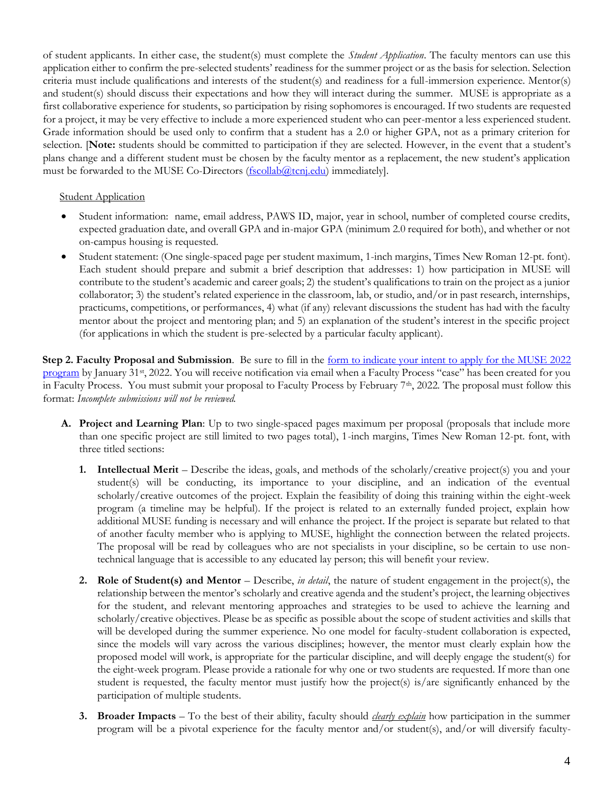of student applicants. In either case, the student(s) must complete the *Student Application*. The faculty mentors can use this application either to confirm the pre-selected students' readiness for the summer project or as the basis for selection. Selection criteria must include qualifications and interests of the student(s) and readiness for a full-immersion experience. Mentor(s) and student(s) should discuss their expectations and how they will interact during the summer. MUSE is appropriate as a first collaborative experience for students, so participation by rising sophomores is encouraged. If two students are requested for a project, it may be very effective to include a more experienced student who can peer-mentor a less experienced student. Grade information should be used only to confirm that a student has a 2.0 or higher GPA, not as a primary criterion for selection. [**Note:** students should be committed to participation if they are selected. However, in the event that a student's plans change and a different student must be chosen by the faculty mentor as a replacement, the new student's application must be forwarded to the MUSE Co-Directors (fscollab@tcnj.edu) immediately].

#### **Student Application**

- Student information: name, email address, PAWS ID, major, year in school, number of completed course credits, expected graduation date, and overall GPA and in-major GPA (minimum 2.0 required for both), and whether or not on-campus housing is requested.
- Student statement: (One single-spaced page per student maximum, 1-inch margins, Times New Roman 12-pt. font). Each student should prepare and submit a brief description that addresses: 1) how participation in MUSE will contribute to the student's academic and career goals; 2) the student's qualifications to train on the project as a junior collaborator; 3) the student's related experience in the classroom, lab, or studio, and/or in past research, internships, practicums, competitions, or performances, 4) what (if any) relevant discussions the student has had with the faculty mentor about the project and mentoring plan; and 5) an explanation of the student's interest in the specific project (for applications in which the student is pre-selected by a particular faculty applicant).

**Step 2. Faculty Proposal and Submission**. Be sure to fill in the [form to indicate your intent to apply for the MUSE 2022](https://tcnj.co1.qualtrics.com/jfe/form/SV_bNn0cFrxiGwaiyy)  [program](https://tcnj.co1.qualtrics.com/jfe/form/SV_bNn0cFrxiGwaiyy) by January 31st, 2022. You will receive notification via email when a Faculty Process "case" has been created for you in Faculty Process. You must submit your proposal to Faculty Process by February 7th, 2022. The proposal must follow this format: *Incomplete submissions will not be reviewed.* 

- **A. Project and Learning Plan**: Up to two single-spaced pages maximum per proposal (proposals that include more than one specific project are still limited to two pages total), 1-inch margins, Times New Roman 12-pt. font, with three titled sections:
	- **1. Intellectual Merit** Describe the ideas, goals, and methods of the scholarly/creative project(s) you and your student(s) will be conducting, its importance to your discipline, and an indication of the eventual scholarly/creative outcomes of the project. Explain the feasibility of doing this training within the eight-week program (a timeline may be helpful). If the project is related to an externally funded project, explain how additional MUSE funding is necessary and will enhance the project. If the project is separate but related to that of another faculty member who is applying to MUSE, highlight the connection between the related projects. The proposal will be read by colleagues who are not specialists in your discipline, so be certain to use nontechnical language that is accessible to any educated lay person; this will benefit your review.
	- **2. Role of Student(s) and Mentor** Describe, *in detail*, the nature of student engagement in the project(s), the relationship between the mentor's scholarly and creative agenda and the student's project, the learning objectives for the student, and relevant mentoring approaches and strategies to be used to achieve the learning and scholarly/creative objectives. Please be as specific as possible about the scope of student activities and skills that will be developed during the summer experience. No one model for faculty-student collaboration is expected, since the models will vary across the various disciplines; however, the mentor must clearly explain how the proposed model will work, is appropriate for the particular discipline, and will deeply engage the student(s) for the eight-week program. Please provide a rationale for why one or two students are requested. If more than one student is requested, the faculty mentor must justify how the project(s) is/are significantly enhanced by the participation of multiple students.
	- **3. Broader Impacts** To the best of their ability, faculty should *clearly explain* how participation in the summer program will be a pivotal experience for the faculty mentor and/or student(s), and/or will diversify faculty-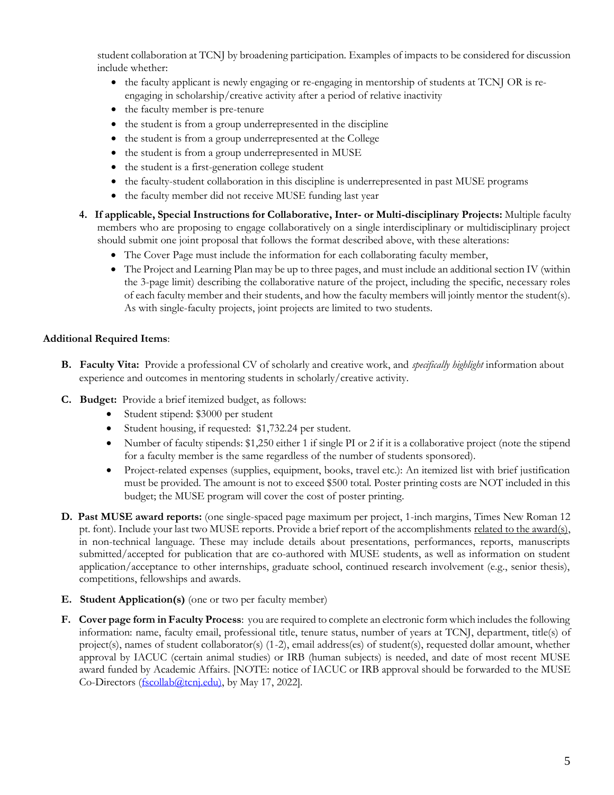student collaboration at TCNJ by broadening participation. Examples of impacts to be considered for discussion include whether:

- the faculty applicant is newly engaging or re-engaging in mentorship of students at TCNJ OR is reengaging in scholarship/creative activity after a period of relative inactivity
- the faculty member is pre-tenure
- the student is from a group underrepresented in the discipline
- the student is from a group underrepresented at the College
- the student is from a group underrepresented in MUSE
- the student is a first-generation college student
- the faculty-student collaboration in this discipline is underrepresented in past MUSE programs
- the faculty member did not receive MUSE funding last year
- **4. If applicable, Special Instructions for Collaborative, Inter- or Multi-disciplinary Projects:** Multiple faculty members who are proposing to engage collaboratively on a single interdisciplinary or multidisciplinary project should submit one joint proposal that follows the format described above, with these alterations:
	- The Cover Page must include the information for each collaborating faculty member,
	- The Project and Learning Plan may be up to three pages, and must include an additional section IV (within the 3-page limit) describing the collaborative nature of the project, including the specific, necessary roles of each faculty member and their students, and how the faculty members will jointly mentor the student(s). As with single-faculty projects, joint projects are limited to two students.

#### **Additional Required Items**:

- **B. Faculty Vita:** Provide a professional CV of scholarly and creative work, and *specifically highlight* information about experience and outcomes in mentoring students in scholarly/creative activity.
- **C. Budget:** Provide a brief itemized budget, as follows:
	- Student stipend: \$3000 per student
	- Student housing, if requested: \$1,732.24 per student.
	- Number of faculty stipends: \$1,250 either 1 if single PI or 2 if it is a collaborative project (note the stipend for a faculty member is the same regardless of the number of students sponsored).
	- Project-related expenses (supplies, equipment, books, travel etc.): An itemized list with brief justification must be provided. The amount is not to exceed \$500 total. Poster printing costs are NOT included in this budget; the MUSE program will cover the cost of poster printing.
- **D. Past MUSE award reports:** (one single-spaced page maximum per project, 1-inch margins, Times New Roman 12 pt. font). Include your last two MUSE reports. Provide a brief report of the accomplishments related to the award(s), in non-technical language. These may include details about presentations, performances, reports, manuscripts submitted/accepted for publication that are co-authored with MUSE students, as well as information on student application/acceptance to other internships, graduate school, continued research involvement (e.g., senior thesis), competitions, fellowships and awards.
- **E. Student Application(s)** (one or two per faculty member)
- **F. Cover page form in Faculty Process**: you are required to complete an electronic form which includes the following information: name, faculty email, professional title, tenure status, number of years at TCNJ, department, title(s) of project(s), names of student collaborator(s) (1-2), email address(es) of student(s), requested dollar amount, whether approval by IACUC (certain animal studies) or IRB (human subjects) is needed, and date of most recent MUSE award funded by Academic Affairs. [NOTE: notice of IACUC or IRB approval should be forwarded to the MUSE Co-Directors (fscollab@tcnj.edu), by May 17, 2022].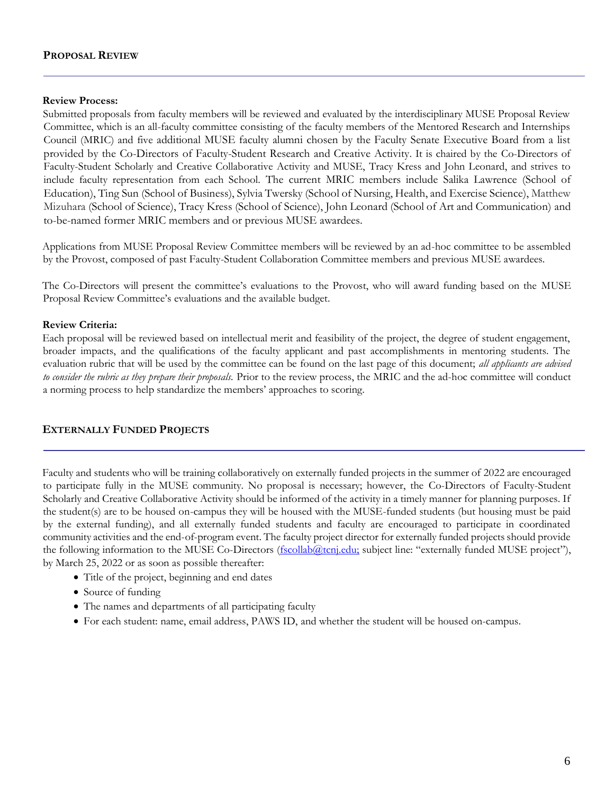#### **PROPOSAL REVIEW**

#### **Review Process:**

Submitted proposals from faculty members will be reviewed and evaluated by the interdisciplinary MUSE Proposal Review Committee, which is an all-faculty committee consisting of the faculty members of the Mentored Research and Internships Council (MRIC) and five additional MUSE faculty alumni chosen by the Faculty Senate Executive Board from a list provided by the Co-Directors of Faculty-Student Research and Creative Activity. It is chaired by the Co-Directors of Faculty-Student Scholarly and Creative Collaborative Activity and MUSE, Tracy Kress and John Leonard, and strives to include faculty representation from each School. The current MRIC members include Salika Lawrence (School of Education), Ting Sun (School of Business), Sylvia Twersky (School of Nursing, Health, and Exercise Science), Matthew Mizuhara (School of Science), Tracy Kress (School of Science), John Leonard (School of Art and Communication) and to-be-named former MRIC members and or previous MUSE awardees.

Applications from MUSE Proposal Review Committee members will be reviewed by an ad-hoc committee to be assembled by the Provost, composed of past Faculty-Student Collaboration Committee members and previous MUSE awardees.

The Co-Directors will present the committee's evaluations to the Provost, who will award funding based on the MUSE Proposal Review Committee's evaluations and the available budget.

#### **Review Criteria:**

Each proposal will be reviewed based on intellectual merit and feasibility of the project, the degree of student engagement, broader impacts, and the qualifications of the faculty applicant and past accomplishments in mentoring students. The evaluation rubric that will be used by the committee can be found on the last page of this document; *all applicants are advised to consider the rubric as they prepare their proposals.* Prior to the review process, the MRIC and the ad-hoc committee will conduct a norming process to help standardize the members' approaches to scoring.

# **EXTERNALLY FUNDED PROJECTS**

Faculty and students who will be training collaboratively on externally funded projects in the summer of 2022 are encouraged to participate fully in the MUSE community. No proposal is necessary; however, the Co-Directors of Faculty-Student Scholarly and Creative Collaborative Activity should be informed of the activity in a timely manner for planning purposes. If the student(s) are to be housed on-campus they will be housed with the MUSE-funded students (but housing must be paid by the external funding), and all externally funded students and faculty are encouraged to participate in coordinated community activities and the end-of-program event. The faculty project director for externally funded projects should provide the following information to the MUSE Co-Directors (fscollab@tcnj.edu; subject line: "externally funded MUSE project"), by March 25, 2022 or as soon as possible thereafter:

- Title of the project, beginning and end dates
- Source of funding
- The names and departments of all participating faculty
- For each student: name, email address, PAWS ID, and whether the student will be housed on-campus.